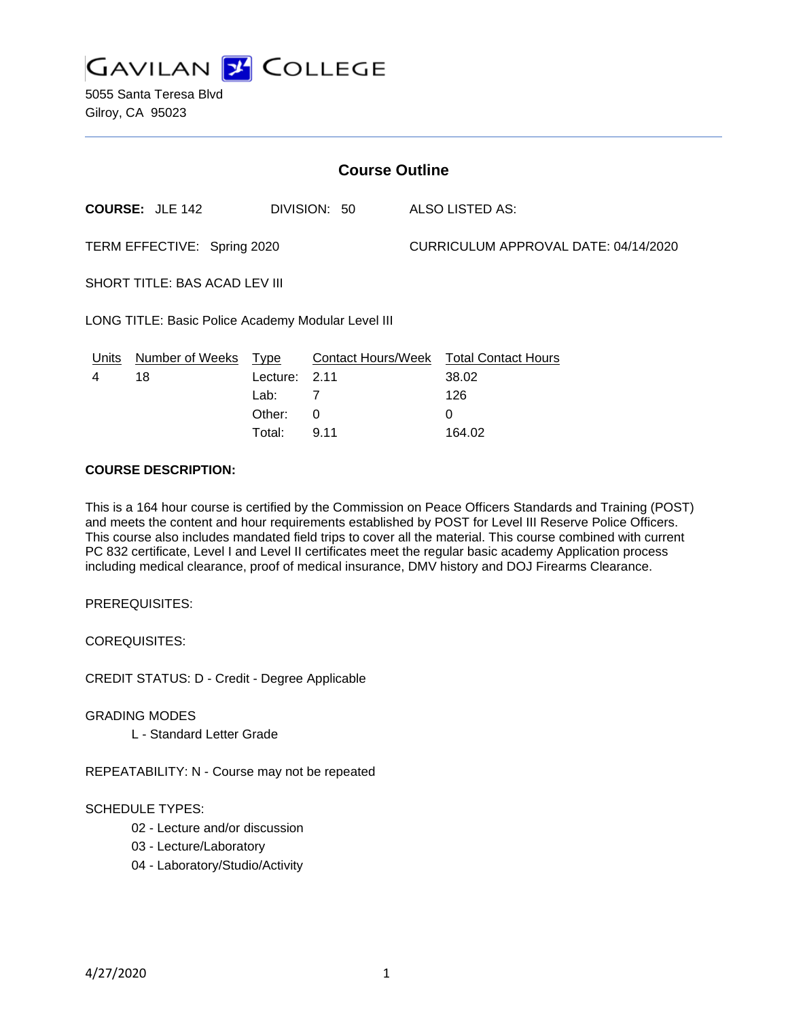

5055 Santa Teresa Blvd Gilroy, CA 95023

| <b>Course Outline</b>                              |                                        |          |                        |  |                                        |  |
|----------------------------------------------------|----------------------------------------|----------|------------------------|--|----------------------------------------|--|
|                                                    | <b>COURSE: JLE 142</b><br>DIVISION: 50 |          | <b>ALSO LISTED AS:</b> |  |                                        |  |
| TERM EFFECTIVE: Spring 2020                        |                                        |          |                        |  | CURRICULUM APPROVAL DATE: 04/14/2020   |  |
| SHORT TITLE: BAS ACAD LEV III                      |                                        |          |                        |  |                                        |  |
| LONG TITLE: Basic Police Academy Modular Level III |                                        |          |                        |  |                                        |  |
| <u>Un</u> its                                      | Number of Weeks                        | Type     |                        |  | Contact Hours/Week Total Contact Hours |  |
| 4                                                  | 18                                     | Lecture: | 2.11                   |  | 38.02                                  |  |
|                                                    |                                        | Lab:     | $\overline{7}$         |  | 126                                    |  |
|                                                    |                                        | Other:   | 0                      |  | 0                                      |  |
|                                                    |                                        | Total:   | 9.11                   |  | 164.02                                 |  |

#### **COURSE DESCRIPTION:**

This is a 164 hour course is certified by the Commission on Peace Officers Standards and Training (POST) and meets the content and hour requirements established by POST for Level III Reserve Police Officers. This course also includes mandated field trips to cover all the material. This course combined with current PC 832 certificate, Level I and Level II certificates meet the regular basic academy Application process including medical clearance, proof of medical insurance, DMV history and DOJ Firearms Clearance.

PREREQUISITES:

COREQUISITES:

CREDIT STATUS: D - Credit - Degree Applicable

GRADING MODES

L - Standard Letter Grade

REPEATABILITY: N - Course may not be repeated

### SCHEDULE TYPES:

- 02 Lecture and/or discussion
- 03 Lecture/Laboratory
- 04 Laboratory/Studio/Activity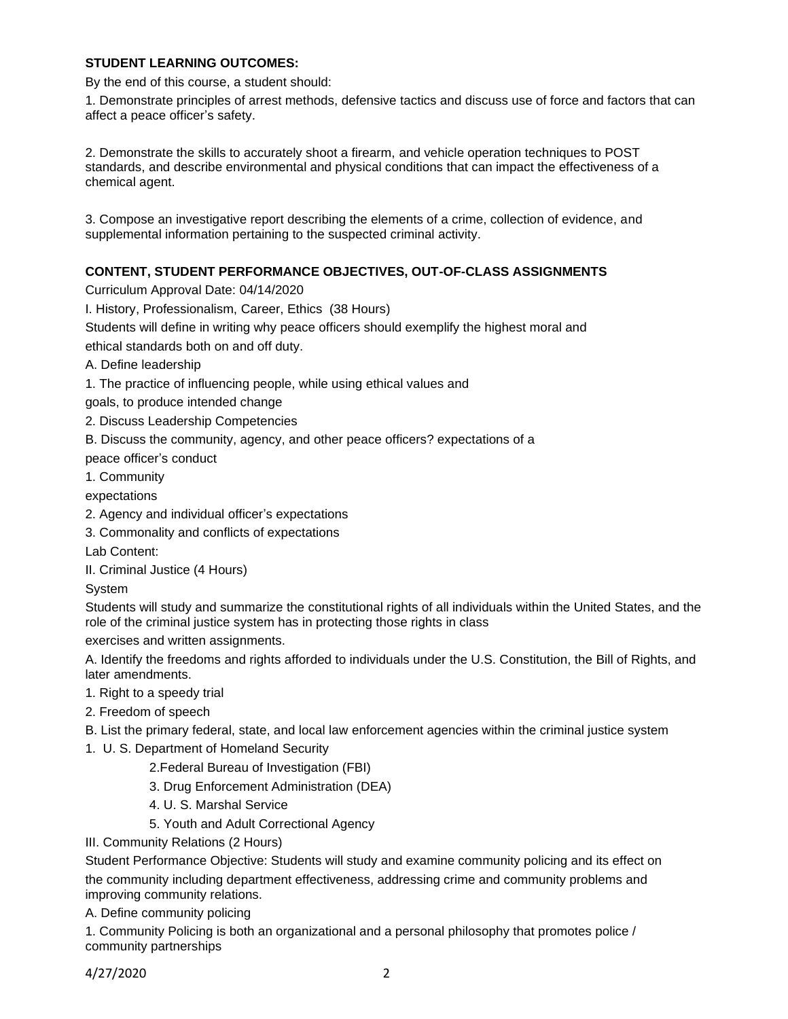### **STUDENT LEARNING OUTCOMES:**

By the end of this course, a student should:

1. Demonstrate principles of arrest methods, defensive tactics and discuss use of force and factors that can affect a peace officer's safety.

2. Demonstrate the skills to accurately shoot a firearm, and vehicle operation techniques to POST standards, and describe environmental and physical conditions that can impact the effectiveness of a chemical agent.

3. Compose an investigative report describing the elements of a crime, collection of evidence, and supplemental information pertaining to the suspected criminal activity.

# **CONTENT, STUDENT PERFORMANCE OBJECTIVES, OUT-OF-CLASS ASSIGNMENTS**

Curriculum Approval Date: 04/14/2020

I. History, Professionalism, Career, Ethics (38 Hours)

Students will define in writing why peace officers should exemplify the highest moral and ethical standards both on and off duty.

- A. Define leadership
- 1. The practice of influencing people, while using ethical values and
- goals, to produce intended change
- 2. Discuss Leadership Competencies
- B. Discuss the community, agency, and other peace officers? expectations of a

peace officer's conduct

1. Community

expectations

- 2. Agency and individual officer's expectations
- 3. Commonality and conflicts of expectations
- Lab Content:
- II. Criminal Justice (4 Hours)

System

Students will study and summarize the constitutional rights of all individuals within the United States, and the role of the criminal justice system has in protecting those rights in class

exercises and written assignments.

A. Identify the freedoms and rights afforded to individuals under the U.S. Constitution, the Bill of Rights, and later amendments.

- 1. Right to a speedy trial
- 2. Freedom of speech
- B. List the primary federal, state, and local law enforcement agencies within the criminal justice system
- 1. U. S. Department of Homeland Security
	- 2.Federal Bureau of Investigation (FBI)
	- 3. Drug Enforcement Administration (DEA)
	- 4. U. S. Marshal Service
	- 5. Youth and Adult Correctional Agency
- III. Community Relations (2 Hours)

Student Performance Objective: Students will study and examine community policing and its effect on the community including department effectiveness, addressing crime and community problems and improving community relations.

A. Define community policing

1. Community Policing is both an organizational and a personal philosophy that promotes police / community partnerships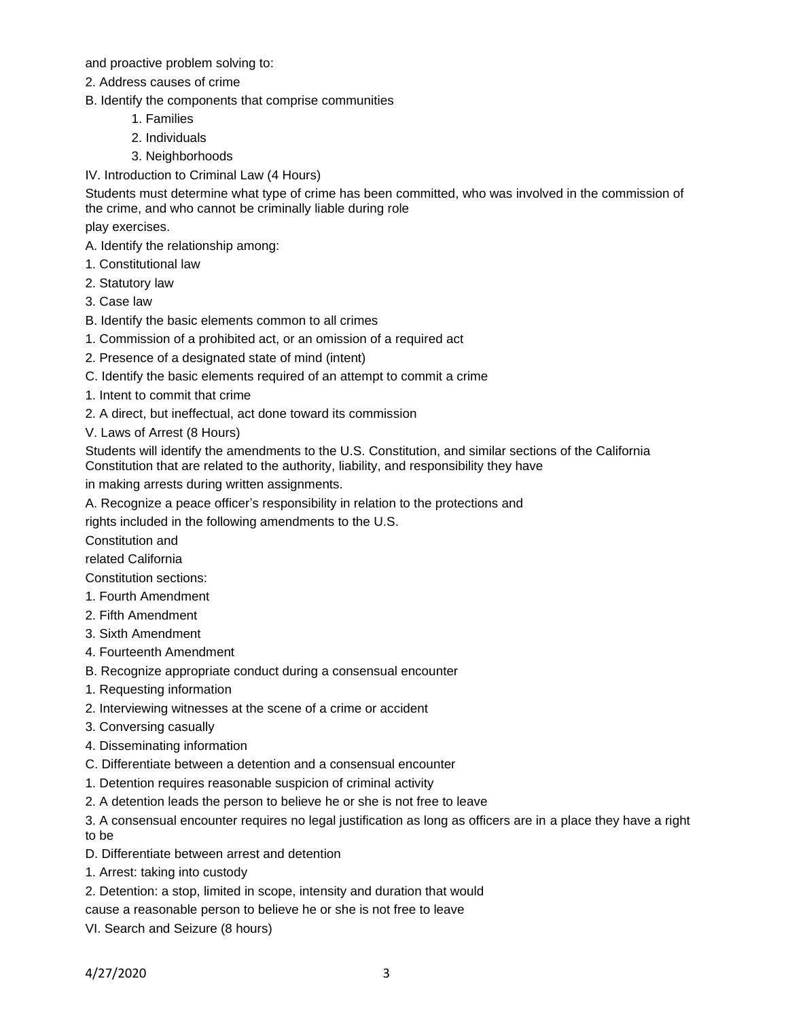and proactive problem solving to:

- 2. Address causes of crime
- B. Identify the components that comprise communities
	- 1. Families
	- 2. Individuals
	- 3. Neighborhoods
- IV. Introduction to Criminal Law (4 Hours)

Students must determine what type of crime has been committed, who was involved in the commission of the crime, and who cannot be criminally liable during role

play exercises.

- A. Identify the relationship among:
- 1. Constitutional law
- 2. Statutory law
- 3. Case law
- B. Identify the basic elements common to all crimes
- 1. Commission of a prohibited act, or an omission of a required act
- 2. Presence of a designated state of mind (intent)
- C. Identify the basic elements required of an attempt to commit a crime
- 1. Intent to commit that crime
- 2. A direct, but ineffectual, act done toward its commission
- V. Laws of Arrest (8 Hours)

Students will identify the amendments to the U.S. Constitution, and similar sections of the California Constitution that are related to the authority, liability, and responsibility they have

in making arrests during written assignments.

A. Recognize a peace officer's responsibility in relation to the protections and

rights included in the following amendments to the U.S.

Constitution and

related California

Constitution sections:

- 1. Fourth Amendment
- 2. Fifth Amendment
- 3. Sixth Amendment
- 4. Fourteenth Amendment
- B. Recognize appropriate conduct during a consensual encounter
- 1. Requesting information
- 2. Interviewing witnesses at the scene of a crime or accident
- 3. Conversing casually
- 4. Disseminating information
- C. Differentiate between a detention and a consensual encounter
- 1. Detention requires reasonable suspicion of criminal activity
- 2. A detention leads the person to believe he or she is not free to leave
- 3. A consensual encounter requires no legal justification as long as officers are in a place they have a right to be
- D. Differentiate between arrest and detention
- 1. Arrest: taking into custody
- 2. Detention: a stop, limited in scope, intensity and duration that would
- cause a reasonable person to believe he or she is not free to leave
- VI. Search and Seizure (8 hours)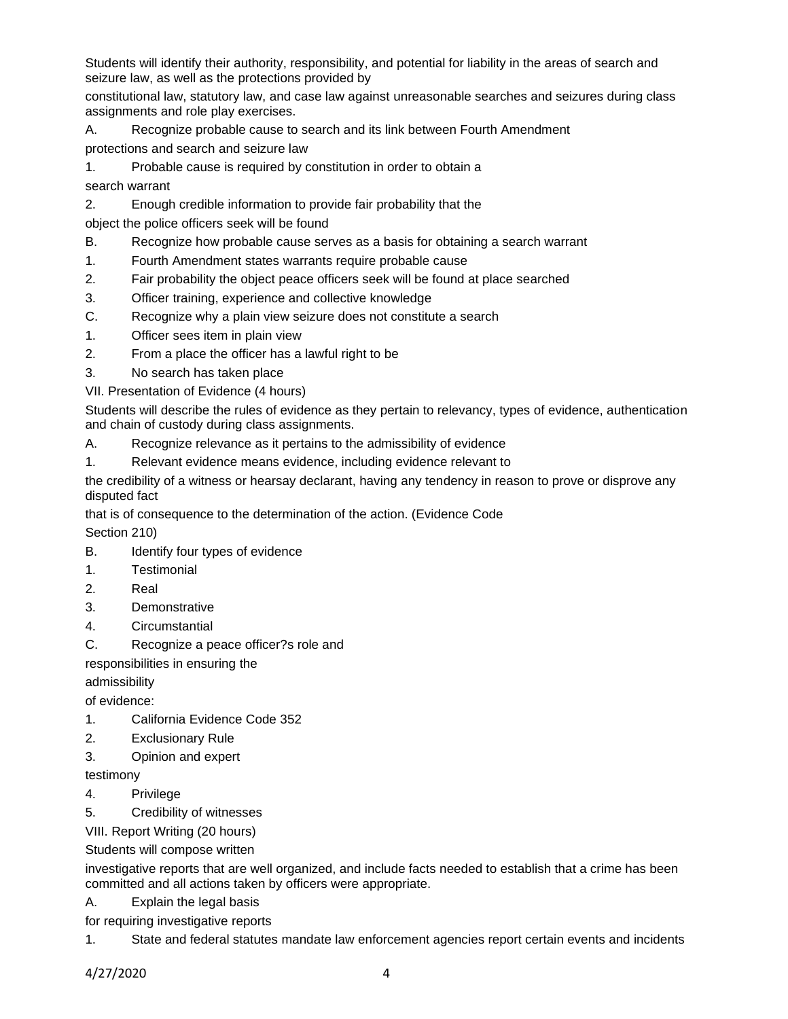Students will identify their authority, responsibility, and potential for liability in the areas of search and seizure law, as well as the protections provided by

constitutional law, statutory law, and case law against unreasonable searches and seizures during class assignments and role play exercises.

A. Recognize probable cause to search and its link between Fourth Amendment

protections and search and seizure law

1. Probable cause is required by constitution in order to obtain a

search warrant

2. Enough credible information to provide fair probability that the

object the police officers seek will be found

- B. Recognize how probable cause serves as a basis for obtaining a search warrant
- 1. Fourth Amendment states warrants require probable cause
- 2. Fair probability the object peace officers seek will be found at place searched
- 3. Officer training, experience and collective knowledge
- C. Recognize why a plain view seizure does not constitute a search
- 1. Officer sees item in plain view
- 2. From a place the officer has a lawful right to be
- 3. No search has taken place
- VII. Presentation of Evidence (4 hours)

Students will describe the rules of evidence as they pertain to relevancy, types of evidence, authentication and chain of custody during class assignments.

- A. Recognize relevance as it pertains to the admissibility of evidence
- 1. Relevant evidence means evidence, including evidence relevant to

the credibility of a witness or hearsay declarant, having any tendency in reason to prove or disprove any disputed fact

that is of consequence to the determination of the action. (Evidence Code

Section 210)

- B. Identify four types of evidence
- 1. Testimonial
- 2. Real
- 3. Demonstrative
- 4. Circumstantial
- C. Recognize a peace officer?s role and

responsibilities in ensuring the

admissibility

of evidence:

- 1. California Evidence Code 352
- 2. Exclusionary Rule
- 3. Opinion and expert

testimony

- 4. Privilege
- 5. Credibility of witnesses

VIII. Report Writing (20 hours)

Students will compose written

investigative reports that are well organized, and include facts needed to establish that a crime has been committed and all actions taken by officers were appropriate.

A. Explain the legal basis

for requiring investigative reports

1. State and federal statutes mandate law enforcement agencies report certain events and incidents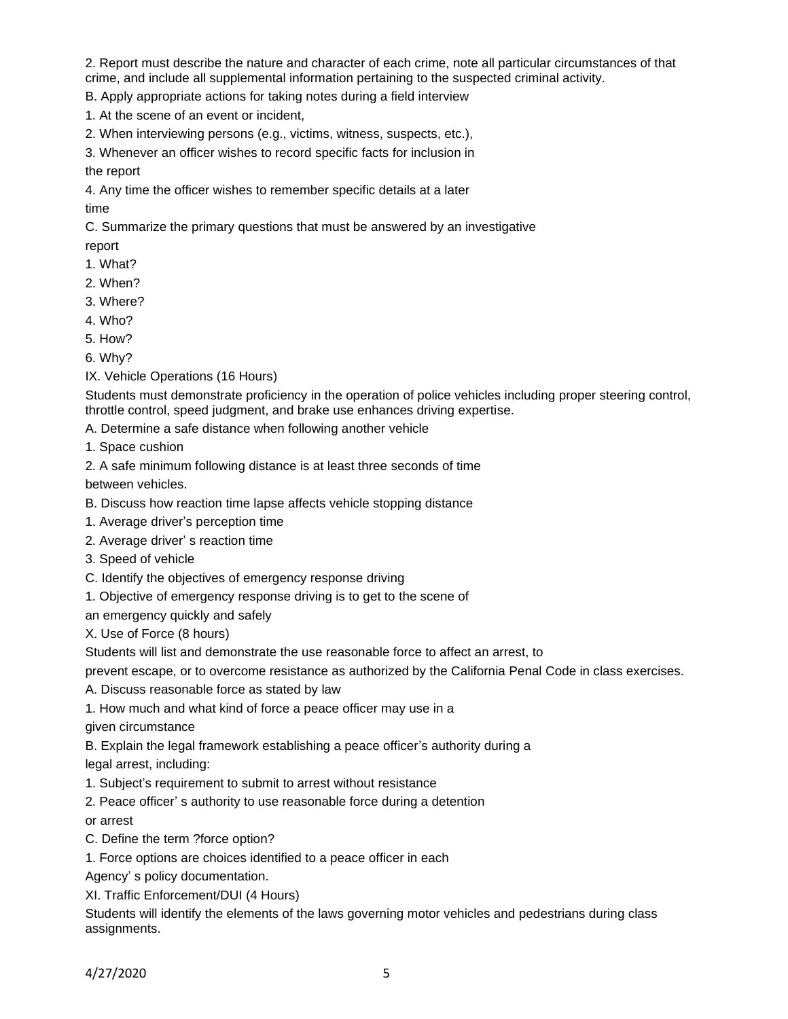2. Report must describe the nature and character of each crime, note all particular circumstances of that crime, and include all supplemental information pertaining to the suspected criminal activity.

B. Apply appropriate actions for taking notes during a field interview

1. At the scene of an event or incident,

2. When interviewing persons (e.g., victims, witness, suspects, etc.),

3. Whenever an officer wishes to record specific facts for inclusion in

the report

4. Any time the officer wishes to remember specific details at a later

time

C. Summarize the primary questions that must be answered by an investigative report

- 1. What?
- 2. When?
- 3. Where?
- 4. Who?
- 5. How?

6. Why?

IX. Vehicle Operations (16 Hours)

Students must demonstrate proficiency in the operation of police vehicles including proper steering control, throttle control, speed judgment, and brake use enhances driving expertise.

A. Determine a safe distance when following another vehicle

1. Space cushion

2. A safe minimum following distance is at least three seconds of time

between vehicles.

B. Discuss how reaction time lapse affects vehicle stopping distance

- 1. Average driver's perception time
- 2. Average driver' s reaction time
- 3. Speed of vehicle
- C. Identify the objectives of emergency response driving
- 1. Objective of emergency response driving is to get to the scene of

an emergency quickly and safely

X. Use of Force (8 hours)

Students will list and demonstrate the use reasonable force to affect an arrest, to

prevent escape, or to overcome resistance as authorized by the California Penal Code in class exercises.

A. Discuss reasonable force as stated by law

1. How much and what kind of force a peace officer may use in a

given circumstance

B. Explain the legal framework establishing a peace officer's authority during a

legal arrest, including:

1. Subject's requirement to submit to arrest without resistance

2. Peace officer' s authority to use reasonable force during a detention

or arrest

C. Define the term ?force option?

1. Force options are choices identified to a peace officer in each

Agency' s policy documentation.

XI. Traffic Enforcement/DUI (4 Hours)

Students will identify the elements of the laws governing motor vehicles and pedestrians during class assignments.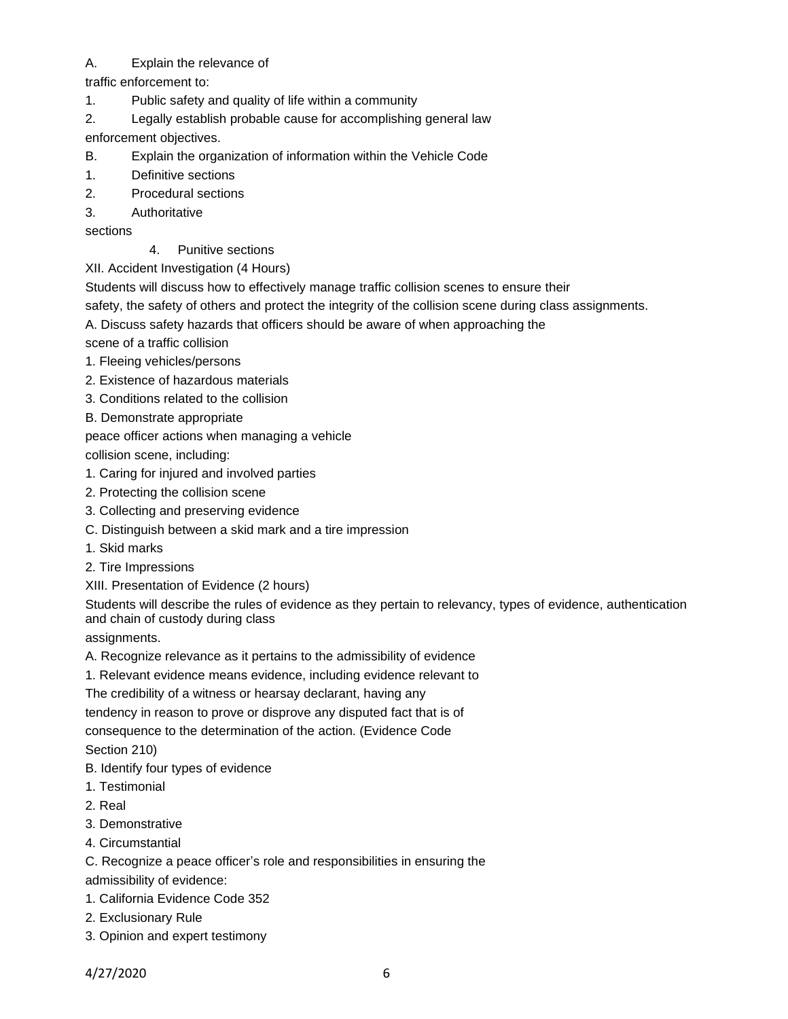# A. Explain the relevance of

- traffic enforcement to:
- 1. Public safety and quality of life within a community
- 2. Legally establish probable cause for accomplishing general law

enforcement objectives.

- B. Explain the organization of information within the Vehicle Code
- 1. Definitive sections
- 2. Procedural sections
- 3. Authoritative

sections

4. Punitive sections

XII. Accident Investigation (4 Hours)

Students will discuss how to effectively manage traffic collision scenes to ensure their

safety, the safety of others and protect the integrity of the collision scene during class assignments.

A. Discuss safety hazards that officers should be aware of when approaching the

scene of a traffic collision

- 1. Fleeing vehicles/persons
- 2. Existence of hazardous materials
- 3. Conditions related to the collision
- B. Demonstrate appropriate

peace officer actions when managing a vehicle

collision scene, including:

- 1. Caring for injured and involved parties
- 2. Protecting the collision scene
- 3. Collecting and preserving evidence
- C. Distinguish between a skid mark and a tire impression
- 1. Skid marks
- 2. Tire Impressions
- XIII. Presentation of Evidence (2 hours)

Students will describe the rules of evidence as they pertain to relevancy, types of evidence, authentication and chain of custody during class

assignments.

- A. Recognize relevance as it pertains to the admissibility of evidence
- 1. Relevant evidence means evidence, including evidence relevant to

The credibility of a witness or hearsay declarant, having any

tendency in reason to prove or disprove any disputed fact that is of

consequence to the determination of the action. (Evidence Code

Section 210)

- B. Identify four types of evidence
- 1. Testimonial
- 2. Real
- 3. Demonstrative
- 4. Circumstantial

C. Recognize a peace officer's role and responsibilities in ensuring the

admissibility of evidence:

- 1. California Evidence Code 352
- 2. Exclusionary Rule
- 3. Opinion and expert testimony

4/27/2020 6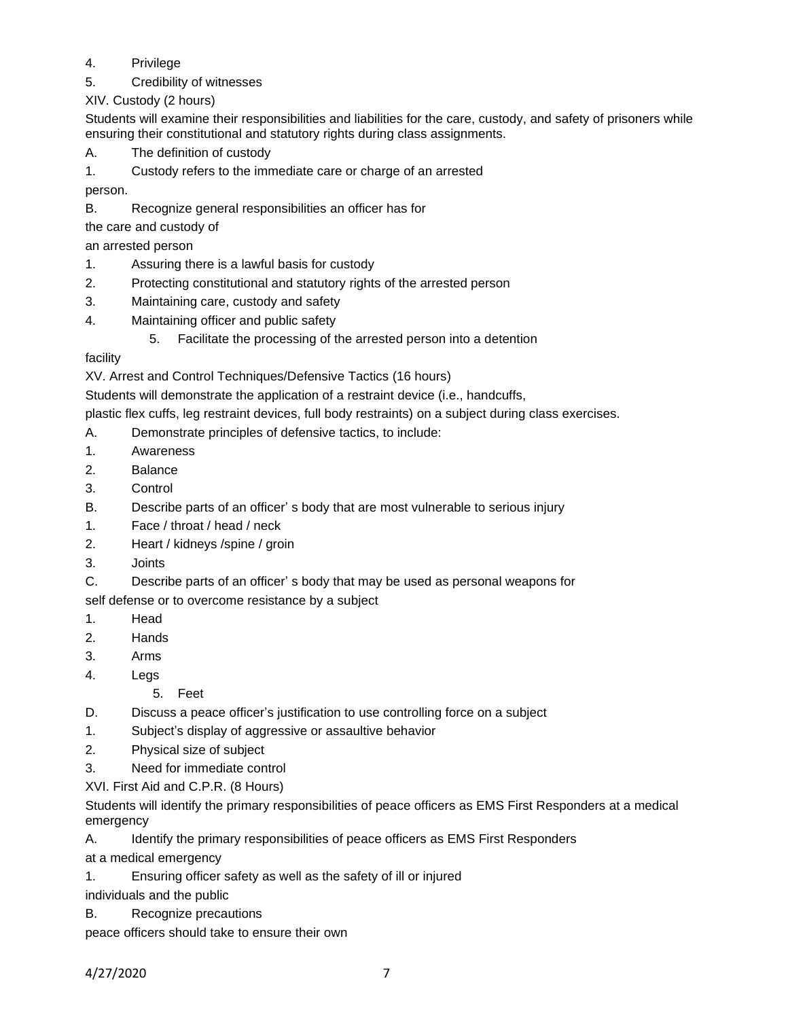# 4. Privilege

5. Credibility of witnesses

XIV. Custody (2 hours)

Students will examine their responsibilities and liabilities for the care, custody, and safety of prisoners while ensuring their constitutional and statutory rights during class assignments.

- A. The definition of custody
- 1. Custody refers to the immediate care or charge of an arrested

person.

B. Recognize general responsibilities an officer has for

the care and custody of

an arrested person

- 1. Assuring there is a lawful basis for custody
- 2. Protecting constitutional and statutory rights of the arrested person
- 3. Maintaining care, custody and safety
- 4. Maintaining officer and public safety
	- 5. Facilitate the processing of the arrested person into a detention

facility

XV. Arrest and Control Techniques/Defensive Tactics (16 hours)

Students will demonstrate the application of a restraint device (i.e., handcuffs,

plastic flex cuffs, leg restraint devices, full body restraints) on a subject during class exercises.

- A. Demonstrate principles of defensive tactics, to include:
- 1. Awareness
- 2. Balance
- 3. Control
- B. Describe parts of an officer' s body that are most vulnerable to serious injury
- 1. Face / throat / head / neck
- 2. Heart / kidneys /spine / groin
- 3. Joints
- C. Describe parts of an officer' s body that may be used as personal weapons for

self defense or to overcome resistance by a subject

- 1. Head
- 2. Hands
- 3. Arms
- 4. Legs
	- 5. Feet
- D. Discuss a peace officer's justification to use controlling force on a subject
- 1. Subject's display of aggressive or assaultive behavior
- 2. Physical size of subject
- 3. Need for immediate control

XVI. First Aid and C.P.R. (8 Hours)

Students will identify the primary responsibilities of peace officers as EMS First Responders at a medical emergency

A. Identify the primary responsibilities of peace officers as EMS First Responders

at a medical emergency

1. Ensuring officer safety as well as the safety of ill or injured

individuals and the public

B. Recognize precautions

peace officers should take to ensure their own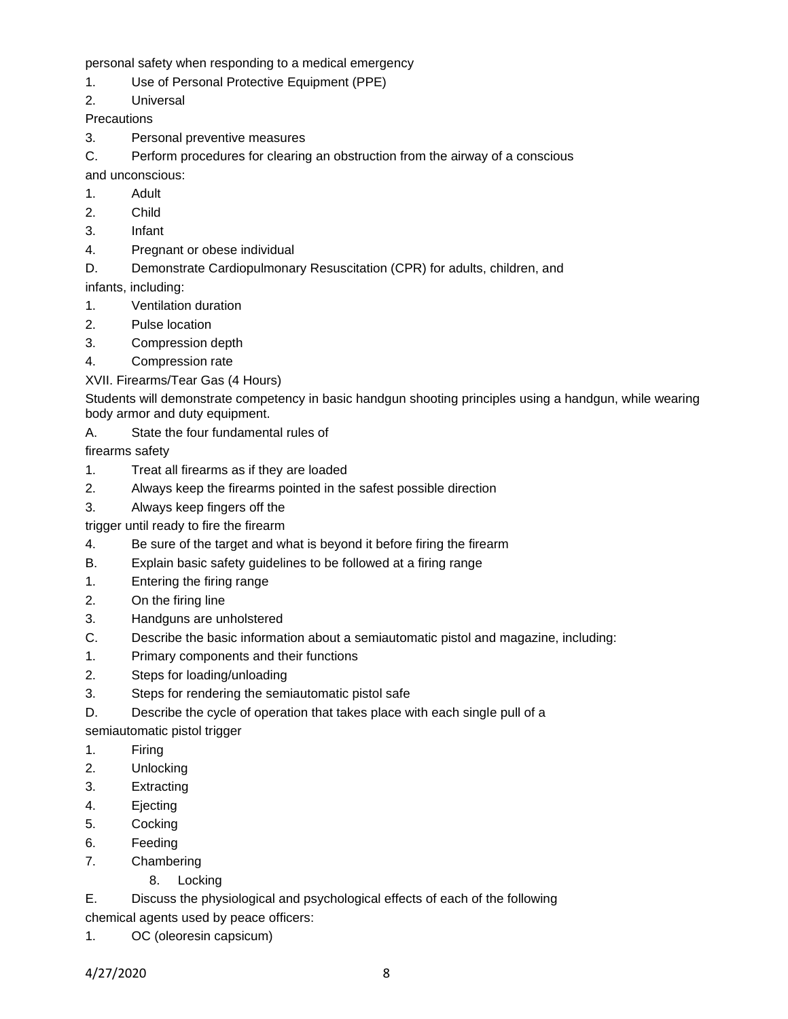personal safety when responding to a medical emergency

1. Use of Personal Protective Equipment (PPE)

2. Universal

**Precautions** 

3. Personal preventive measures

C. Perform procedures for clearing an obstruction from the airway of a conscious

and unconscious:

- 1. Adult
- 2. Child
- 3. Infant
- 4. Pregnant or obese individual
- D. Demonstrate Cardiopulmonary Resuscitation (CPR) for adults, children, and

infants, including:

- 1. Ventilation duration
- 2. Pulse location
- 3. Compression depth
- 4. Compression rate
- XVII. Firearms/Tear Gas (4 Hours)

Students will demonstrate competency in basic handgun shooting principles using a handgun, while wearing body armor and duty equipment.

A. State the four fundamental rules of

firearms safety

- 1. Treat all firearms as if they are loaded
- 2. Always keep the firearms pointed in the safest possible direction
- 3. Always keep fingers off the
- trigger until ready to fire the firearm
- 4. Be sure of the target and what is beyond it before firing the firearm
- B. Explain basic safety guidelines to be followed at a firing range
- 1. Entering the firing range
- 2. On the firing line
- 3. Handguns are unholstered
- C. Describe the basic information about a semiautomatic pistol and magazine, including:
- 1. Primary components and their functions
- 2. Steps for loading/unloading
- 3. Steps for rendering the semiautomatic pistol safe
- D. Describe the cycle of operation that takes place with each single pull of a

semiautomatic pistol trigger

- 1. Firing
- 2. Unlocking
- 3. Extracting
- 4. Ejecting
- 5. Cocking
- 6. Feeding
- 7. Chambering
	- 8. Locking

E. Discuss the physiological and psychological effects of each of the following chemical agents used by peace officers:

1. OC (oleoresin capsicum)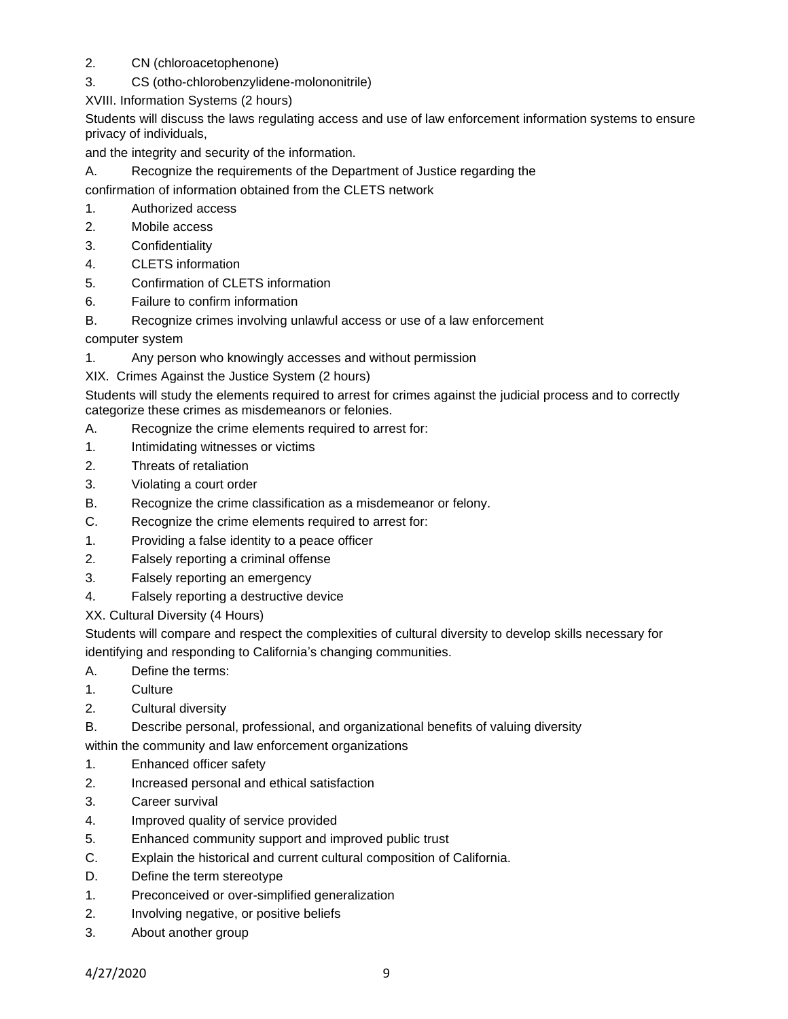- 2. CN (chloroacetophenone)
- 3. CS (otho-chlorobenzylidene-molononitrile)

XVIII. Information Systems (2 hours)

Students will discuss the laws regulating access and use of law enforcement information systems to ensure privacy of individuals,

and the integrity and security of the information.

A. Recognize the requirements of the Department of Justice regarding the

confirmation of information obtained from the CLETS network

- 1. Authorized access
- 2. Mobile access
- 3. Confidentiality
- 4. CLETS information
- 5. Confirmation of CLETS information
- 6. Failure to confirm information
- B. Recognize crimes involving unlawful access or use of a law enforcement

computer system

1. Any person who knowingly accesses and without permission

XIX. Crimes Against the Justice System (2 hours)

Students will study the elements required to arrest for crimes against the judicial process and to correctly categorize these crimes as misdemeanors or felonies.

- A. Recognize the crime elements required to arrest for:
- 1. Intimidating witnesses or victims
- 2. Threats of retaliation
- 3. Violating a court order
- B. Recognize the crime classification as a misdemeanor or felony.
- C. Recognize the crime elements required to arrest for:
- 1. Providing a false identity to a peace officer
- 2. Falsely reporting a criminal offense
- 3. Falsely reporting an emergency
- 4. Falsely reporting a destructive device

XX. Cultural Diversity (4 Hours)

Students will compare and respect the complexities of cultural diversity to develop skills necessary for identifying and responding to California's changing communities.

- A. Define the terms:
- 1. Culture
- 2. Cultural diversity
- B. Describe personal, professional, and organizational benefits of valuing diversity

within the community and law enforcement organizations

- 1. Enhanced officer safety
- 2. Increased personal and ethical satisfaction
- 3. Career survival
- 4. Improved quality of service provided
- 5. Enhanced community support and improved public trust
- C. Explain the historical and current cultural composition of California.
- D. Define the term stereotype
- 1. Preconceived or over-simplified generalization
- 2. Involving negative, or positive beliefs
- 3. About another group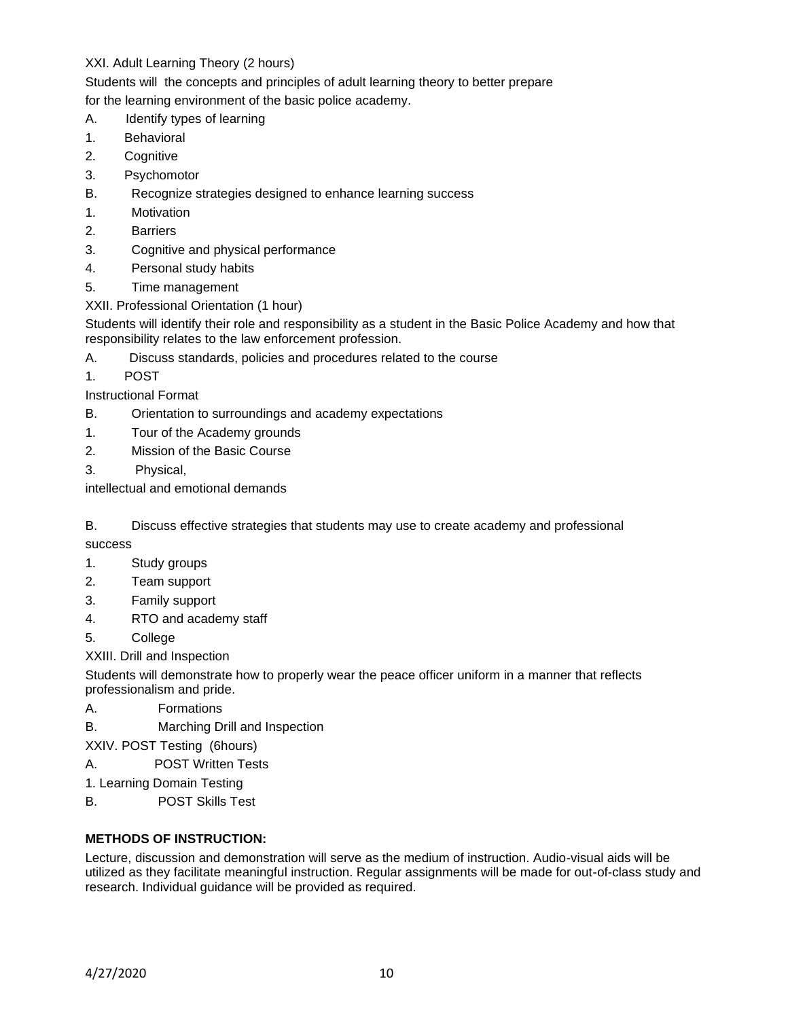## XXI. Adult Learning Theory (2 hours)

Students will the concepts and principles of adult learning theory to better prepare

for the learning environment of the basic police academy.

- A. Identify types of learning
- 1. Behavioral
- 2. Cognitive
- 3. Psychomotor
- B. Recognize strategies designed to enhance learning success
- 1. Motivation
- 2. Barriers
- 3. Cognitive and physical performance
- 4. Personal study habits
- 5. Time management
- XXII. Professional Orientation (1 hour)

Students will identify their role and responsibility as a student in the Basic Police Academy and how that responsibility relates to the law enforcement profession.

- A. Discuss standards, policies and procedures related to the course
- 1. POST

Instructional Format

- B. Orientation to surroundings and academy expectations
- 1. Tour of the Academy grounds
- 2. Mission of the Basic Course
- 3. Physical,

intellectual and emotional demands

B. Discuss effective strategies that students may use to create academy and professional success

- 1. Study groups
- 2. Team support
- 3. Family support
- 4. RTO and academy staff
- 5. College

XXIII. Drill and Inspection

Students will demonstrate how to properly wear the peace officer uniform in a manner that reflects professionalism and pride.

- A. Formations
- B. Marching Drill and Inspection

XXIV. POST Testing (6hours)

- A. POST Written Tests
- 1. Learning Domain Testing
- B. POST Skills Test

# **METHODS OF INSTRUCTION:**

Lecture, discussion and demonstration will serve as the medium of instruction. Audio-visual aids will be utilized as they facilitate meaningful instruction. Regular assignments will be made for out-of-class study and research. Individual guidance will be provided as required.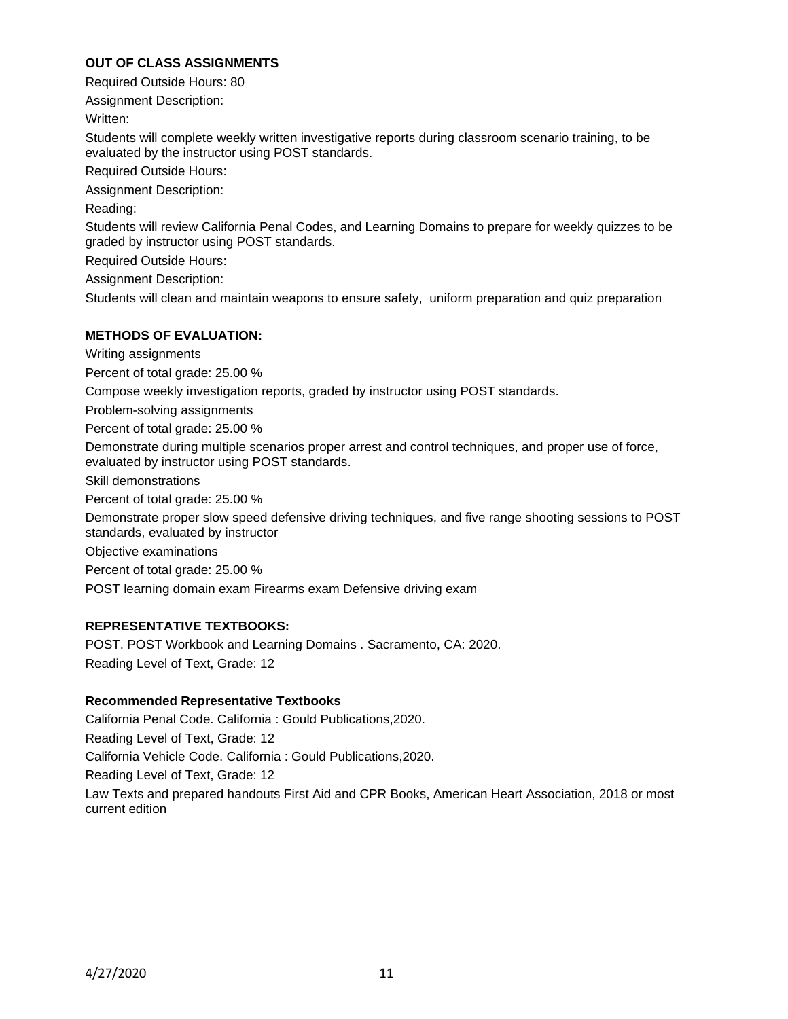### **OUT OF CLASS ASSIGNMENTS**

Required Outside Hours: 80

Assignment Description:

Written:

Students will complete weekly written investigative reports during classroom scenario training, to be evaluated by the instructor using POST standards.

Required Outside Hours:

Assignment Description:

Reading:

Students will review California Penal Codes, and Learning Domains to prepare for weekly quizzes to be graded by instructor using POST standards.

Required Outside Hours:

Assignment Description:

Students will clean and maintain weapons to ensure safety, uniform preparation and quiz preparation

### **METHODS OF EVALUATION:**

Writing assignments

Percent of total grade: 25.00 %

Compose weekly investigation reports, graded by instructor using POST standards.

Problem-solving assignments

Percent of total grade: 25.00 %

Demonstrate during multiple scenarios proper arrest and control techniques, and proper use of force, evaluated by instructor using POST standards.

Skill demonstrations

Percent of total grade: 25.00 %

Demonstrate proper slow speed defensive driving techniques, and five range shooting sessions to POST standards, evaluated by instructor

Objective examinations

Percent of total grade: 25.00 %

POST learning domain exam Firearms exam Defensive driving exam

#### **REPRESENTATIVE TEXTBOOKS:**

POST. POST Workbook and Learning Domains . Sacramento, CA: 2020. Reading Level of Text, Grade: 12

#### **Recommended Representative Textbooks**

California Penal Code. California : Gould Publications,2020. Reading Level of Text, Grade: 12 California Vehicle Code. California : Gould Publications,2020. Reading Level of Text, Grade: 12 Law Texts and prepared handouts First Aid and CPR Books, American Heart Association, 2018 or most current edition